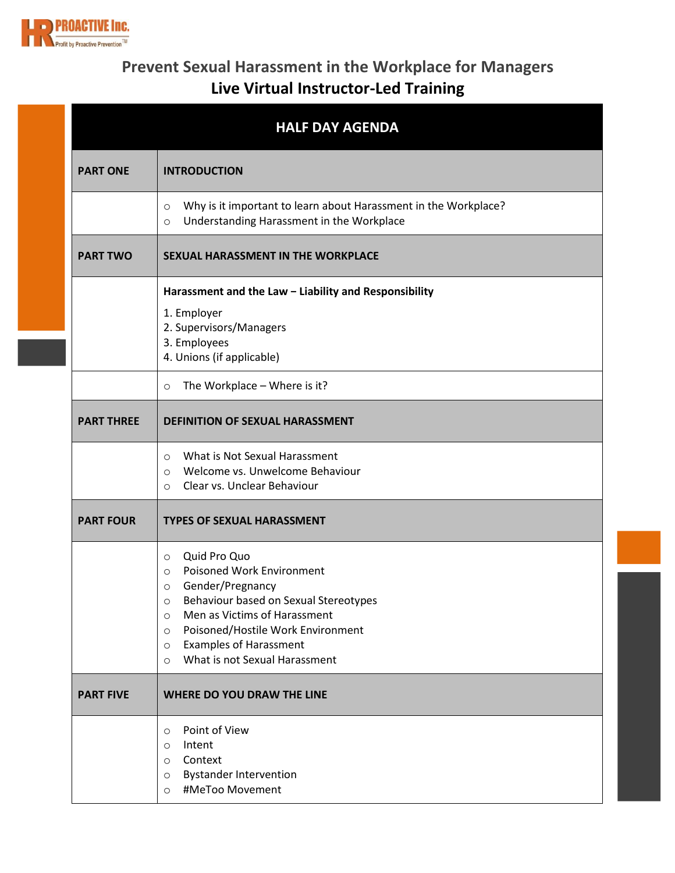

## **Prevent Sexual Harassment in the Workplace for Managers Live Virtual Instructor-Led Training**

|                   | <b>HALF DAY AGENDA</b>                                                                                                                                                                                                                                                                                                                       |
|-------------------|----------------------------------------------------------------------------------------------------------------------------------------------------------------------------------------------------------------------------------------------------------------------------------------------------------------------------------------------|
| <b>PART ONE</b>   | <b>INTRODUCTION</b>                                                                                                                                                                                                                                                                                                                          |
|                   | Why is it important to learn about Harassment in the Workplace?<br>$\circ$<br>Understanding Harassment in the Workplace<br>$\circ$                                                                                                                                                                                                           |
| <b>PART TWO</b>   | SEXUAL HARASSMENT IN THE WORKPLACE                                                                                                                                                                                                                                                                                                           |
|                   | Harassment and the Law - Liability and Responsibility                                                                                                                                                                                                                                                                                        |
|                   | 1. Employer<br>2. Supervisors/Managers<br>3. Employees                                                                                                                                                                                                                                                                                       |
|                   | 4. Unions (if applicable)                                                                                                                                                                                                                                                                                                                    |
|                   | The Workplace - Where is it?<br>$\circ$                                                                                                                                                                                                                                                                                                      |
| <b>PART THREE</b> | <b>DEFINITION OF SEXUAL HARASSMENT</b>                                                                                                                                                                                                                                                                                                       |
|                   | What is Not Sexual Harassment<br>$\circ$<br>Welcome vs. Unwelcome Behaviour<br>$\circ$<br>Clear vs. Unclear Behaviour<br>$\circ$                                                                                                                                                                                                             |
| <b>PART FOUR</b>  | <b>TYPES OF SEXUAL HARASSMENT</b>                                                                                                                                                                                                                                                                                                            |
|                   | Quid Pro Quo<br>$\circ$<br><b>Poisoned Work Environment</b><br>$\circ$<br>Gender/Pregnancy<br>$\circ$<br>Behaviour based on Sexual Stereotypes<br>$\circ$<br>Men as Victims of Harassment<br>$\circ$<br>Poisoned/Hostile Work Environment<br>$\circ$<br><b>Examples of Harassment</b><br>$\circ$<br>What is not Sexual Harassment<br>$\circ$ |
| <b>PART FIVE</b>  | <b>WHERE DO YOU DRAW THE LINE</b>                                                                                                                                                                                                                                                                                                            |
|                   | Point of View<br>$\circ$<br>Intent<br>$\circ$<br>Context<br>$\circ$<br><b>Bystander Intervention</b><br>$\circ$<br>#MeToo Movement<br>$\circ$                                                                                                                                                                                                |